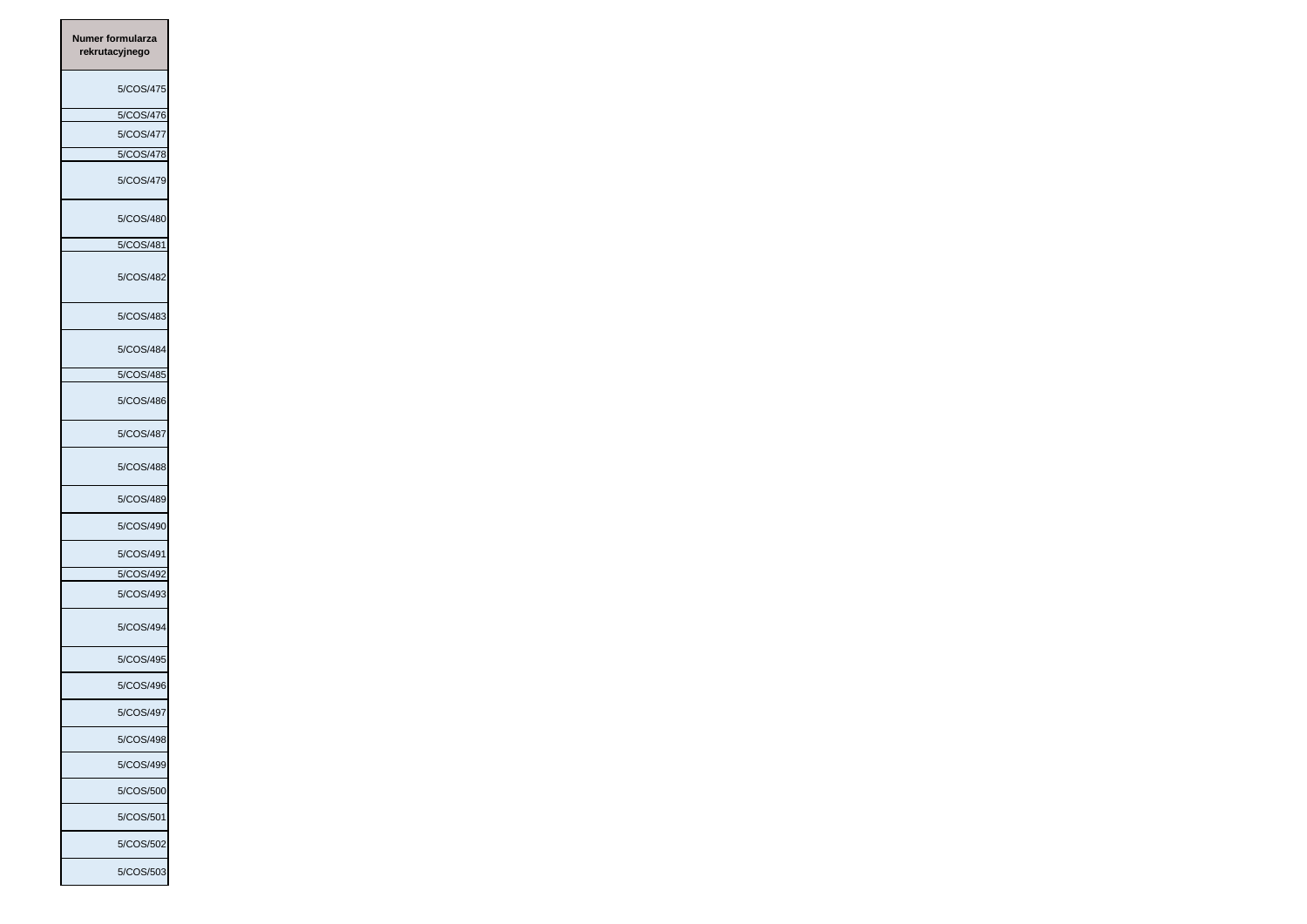| Numer formularza<br>rekrutacyjnego |           |
|------------------------------------|-----------|
|                                    | 5/COS/475 |
|                                    | 5/COS/476 |
|                                    | 5/COS/477 |
|                                    | 5/COS/478 |
|                                    | 5/COS/479 |
|                                    | 5/COS/480 |
|                                    | 5/COS/481 |
|                                    | 5/COS/482 |
|                                    | 5/COS/483 |
|                                    | 5/COS/484 |
|                                    | 5/COS/485 |
|                                    | 5/COS/486 |
|                                    | 5/COS/487 |
|                                    | 5/COS/488 |
|                                    | 5/COS/489 |
|                                    | 5/COS/490 |
|                                    | 5/COS/491 |
|                                    | 5/COS/492 |
|                                    | 5/COS/493 |
|                                    | 5/COS/494 |
|                                    | 5/COS/495 |
|                                    | 5/COS/496 |
|                                    | 5/COS/497 |
|                                    | 5/COS/498 |
|                                    | 5/COS/499 |
|                                    | 5/COS/500 |
|                                    | 5/COS/501 |
|                                    | 5/COS/502 |
|                                    | 5/COS/503 |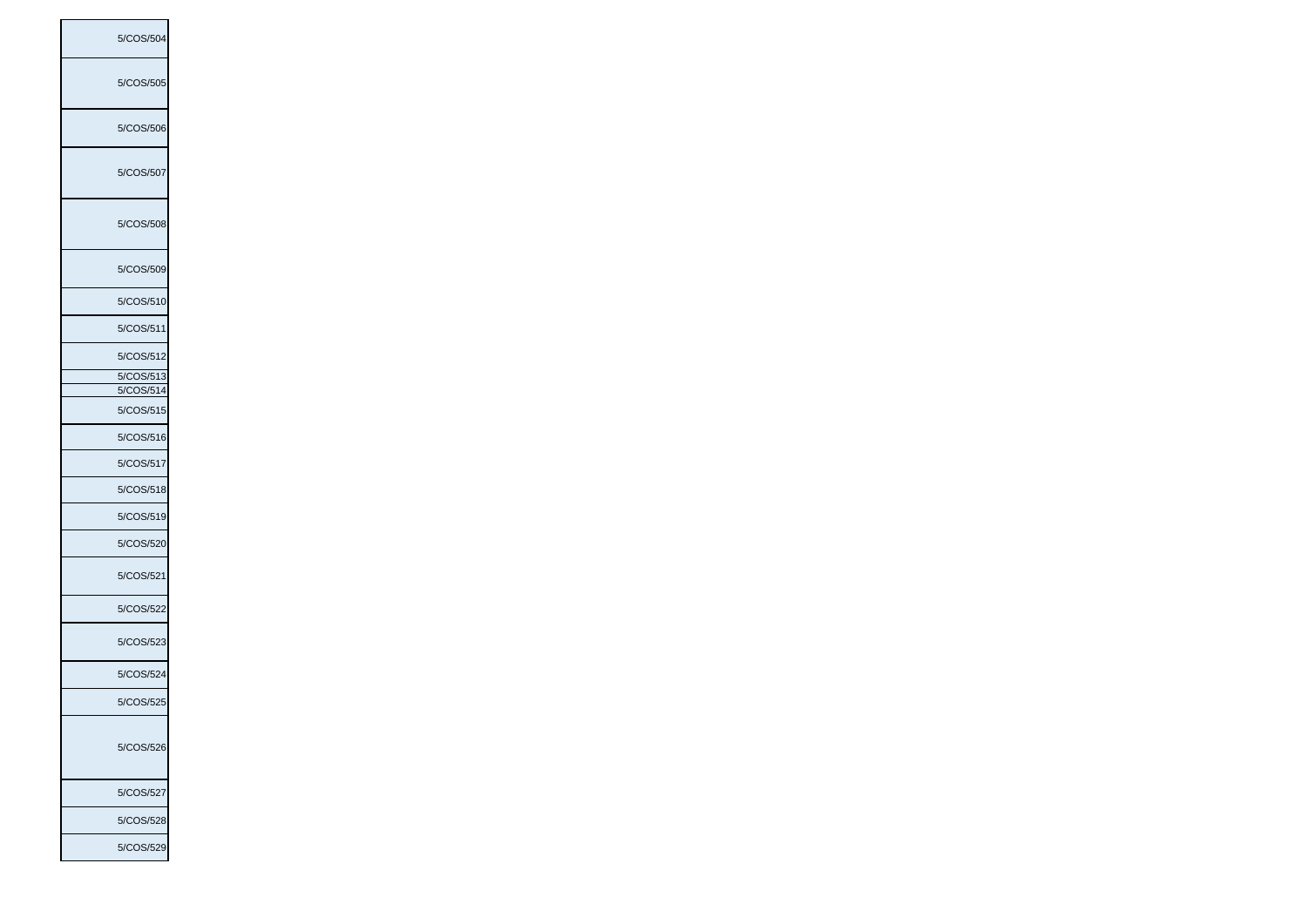5/COS/504 5/COS/505 5/COS/506 5/COS/507 5/COS/508 5/COS/509 5/COS/510 5/COS/511 5/COS/512 5/COS/513 5/COS/514 5/COS/515 5/COS/516 5/COS/517 5/COS/518 5/COS/519 5/COS/520 5/COS/521 5/COS/522 5/COS/523 5/COS/524 5/COS/525 5/COS/526 5/COS/527 5/COS/528 5/COS/529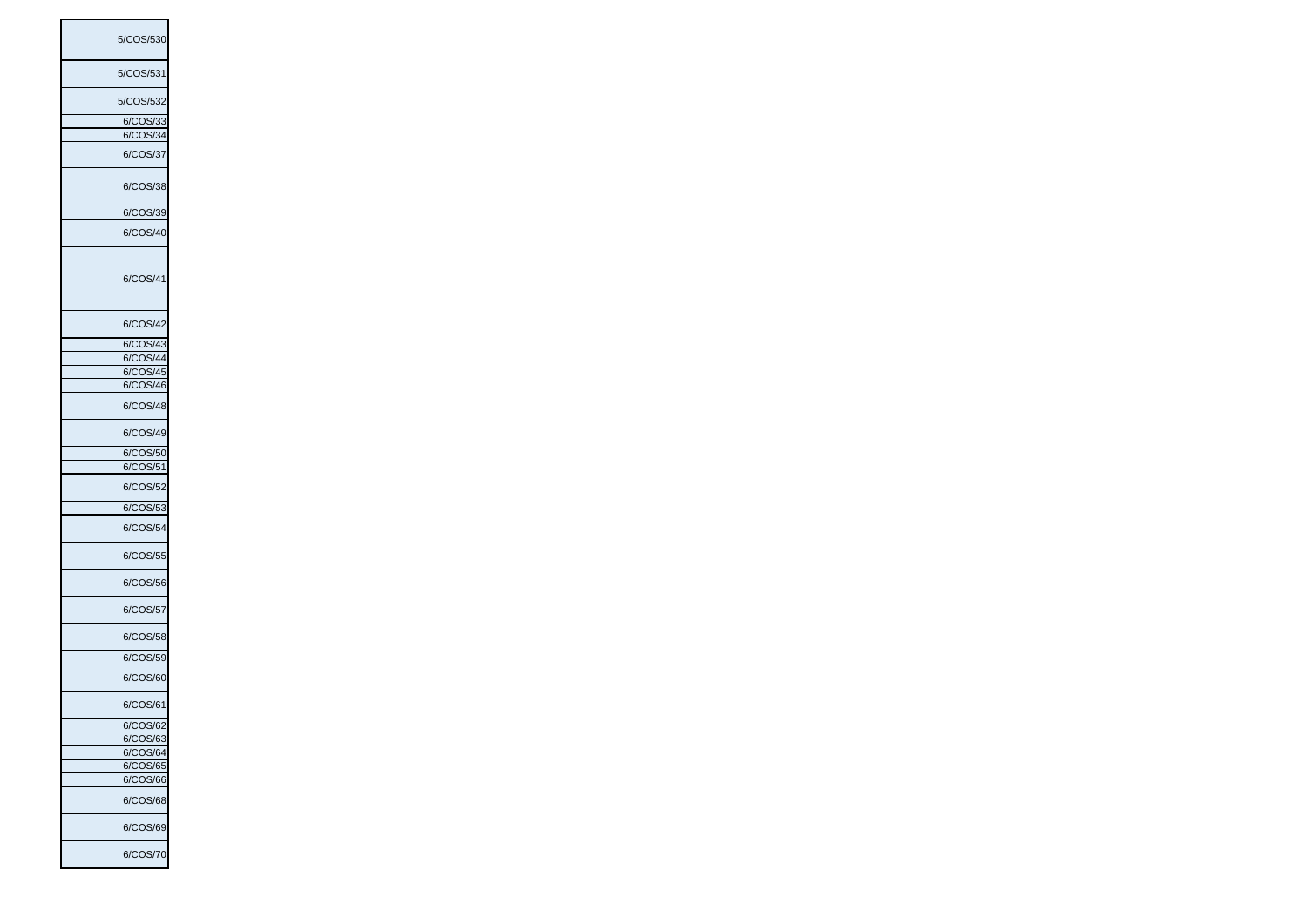| 5/COS/530     |
|---------------|
| 5/COS/531     |
| 5/COS/532     |
| 6/COS/33      |
| 6/COS/34      |
|               |
| 6/COS/37      |
| 6/COS/38      |
| 6/COS/39      |
|               |
| 6/COS/40      |
| 6/COS/41      |
| 6/COS/42      |
| 6/COS/43      |
| 6/COS/44      |
| 6/COS/45      |
|               |
| 6/COS/46      |
| 6/COS/48      |
| 6/COS/49      |
| 6/COS/50      |
| 6/COS/51      |
| 6/COS/52      |
| 6/COS/53      |
|               |
| 6/COS/54      |
| 6/COS/55      |
| 6/COS/56      |
| 6/COS/57      |
| 6/COS/58      |
| 6/COS/59      |
| 6/COS/60      |
| 6/COS/61      |
| 6/COS/62      |
| 6/COS/63      |
|               |
| 6/COS/64      |
| 6/C<br>:OS/65 |
| 6/COS/66      |
| 6/COS/68      |
| 6/COS/69      |
| 6/COS/70      |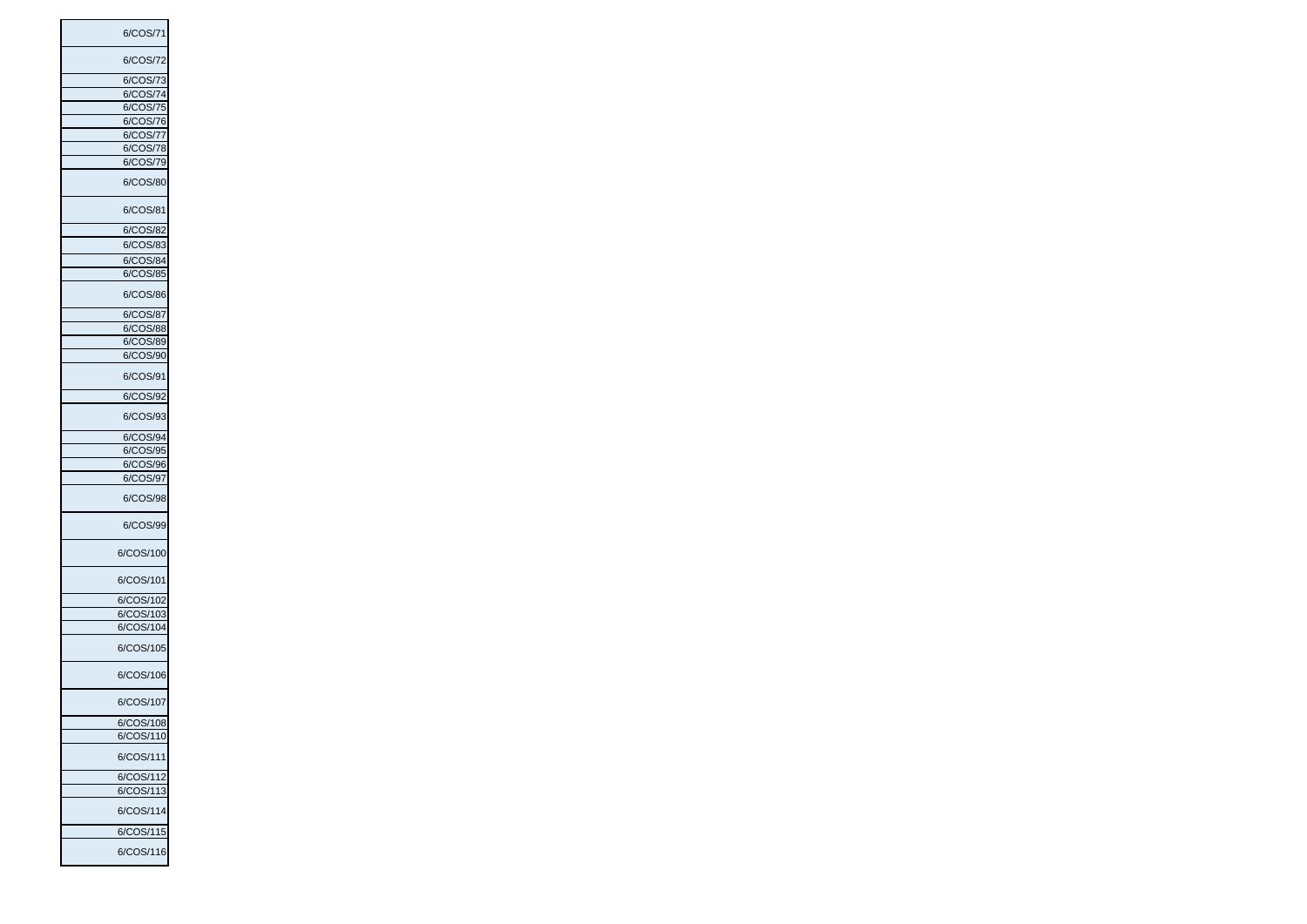| 6/COS/71               |
|------------------------|
| 6/COS/72               |
| 6/COS/73               |
| 6/COS/74               |
|                        |
| 6/COS/75               |
| 6/COS/76               |
|                        |
| 6/COS/77               |
| 6/COS/78               |
|                        |
| 6/COS/79               |
| 6/COS/80               |
| 6/COS/81               |
| 6/COS/82               |
|                        |
| 6/COS/83               |
| 6/COS/84               |
|                        |
| 6/COS/85               |
| 6/COS/86               |
| 6/COS/87               |
| :OS/88                 |
| 6/C                    |
| 6/COS/89               |
| 6/COS/90               |
|                        |
| 6/COS/91               |
| 6/COS/92               |
| 6/COS/93               |
| 6/COS/94               |
|                        |
| 6/COS/95               |
| 6/COS/96               |
|                        |
| 6/COS/97<br>6/COS/98   |
|                        |
| 6/COS/99               |
| 6/COS/100              |
| 6/COS/101              |
| 6/COS/102              |
| 6/COS/103              |
|                        |
| 6/COS/104              |
| 6/COS/105              |
| 6/COS/106              |
| 6/COS/107              |
|                        |
| 6/COS/108              |
| 6/COS/110              |
| 6/COS/111              |
| 6/COS/112              |
|                        |
|                        |
| 6/COS/113              |
| 6/COS/114              |
|                        |
| 6/COS/115<br>6/COS/116 |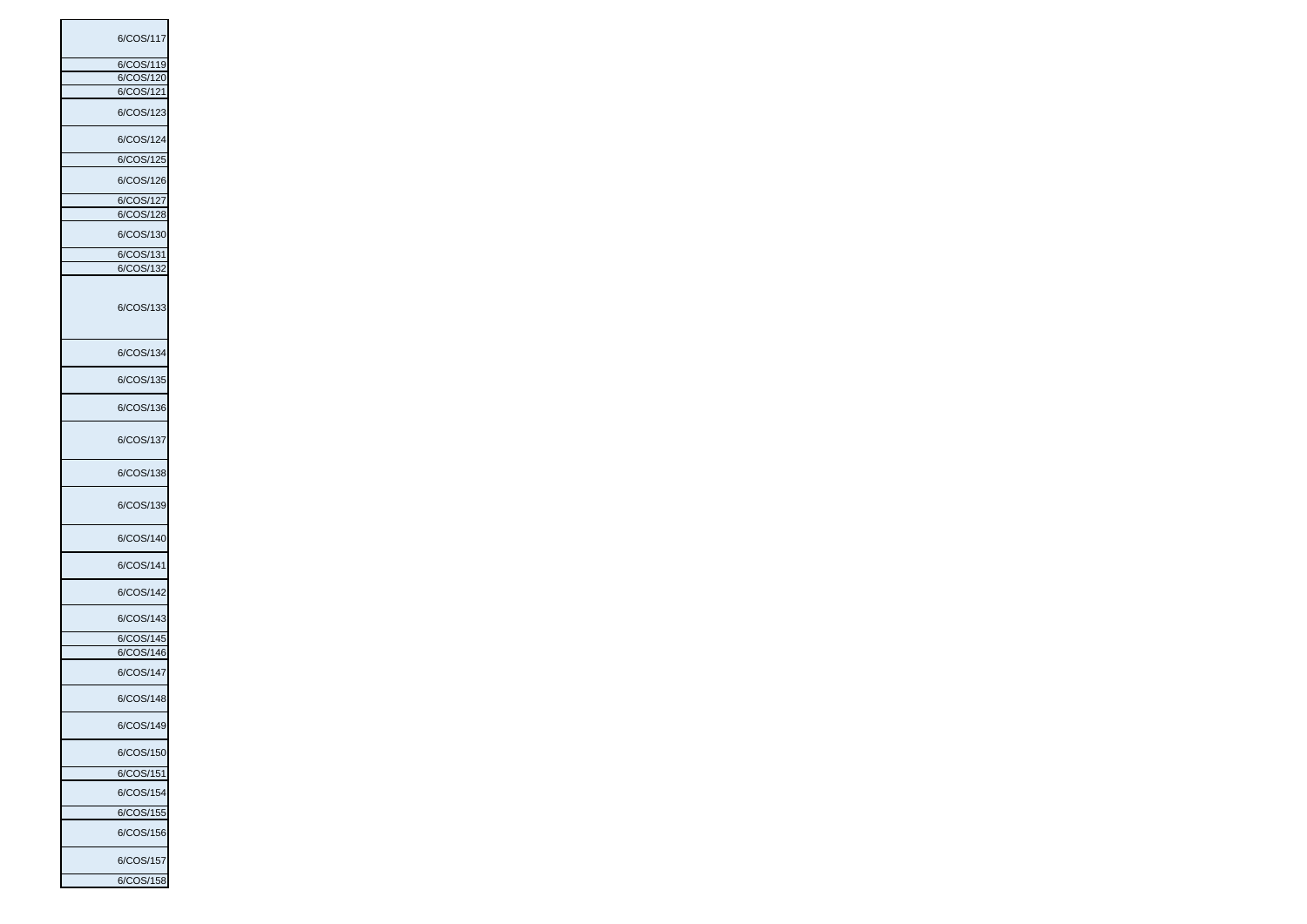| 6/COS/117 |  |
|-----------|--|
|           |  |
| 6/COS/119 |  |
| 6/COS/120 |  |
|           |  |
| 6/COS/121 |  |
| 6/COS/123 |  |
| 6/COS/124 |  |
| 6/COS/125 |  |
| 6/COS/126 |  |
| 6/COS/127 |  |
|           |  |
| 6/COS/128 |  |
|           |  |
| 6/COS/130 |  |
| 6/COS/131 |  |
| 6/COS/132 |  |
| 6/COS/133 |  |
|           |  |
| 6/COS/134 |  |
| 6/COS/135 |  |
| 6/COS/136 |  |
| 6/COS/137 |  |
| 6/COS/138 |  |
| 6/COS/139 |  |
| 6/COS/140 |  |
| 6/COS/141 |  |
| 6/COS/142 |  |
| 6/COS/143 |  |
| 6/COS/145 |  |
|           |  |
| 6/COS/146 |  |
| 6/COS/147 |  |
| 6/COS/148 |  |
| 6/COS/149 |  |
| 6/COS/150 |  |
| 6/COS/151 |  |
| 6/COS/154 |  |
| 6/COS/155 |  |
| 6/COS/156 |  |
| 6/COS/157 |  |
| 6/COS/158 |  |
|           |  |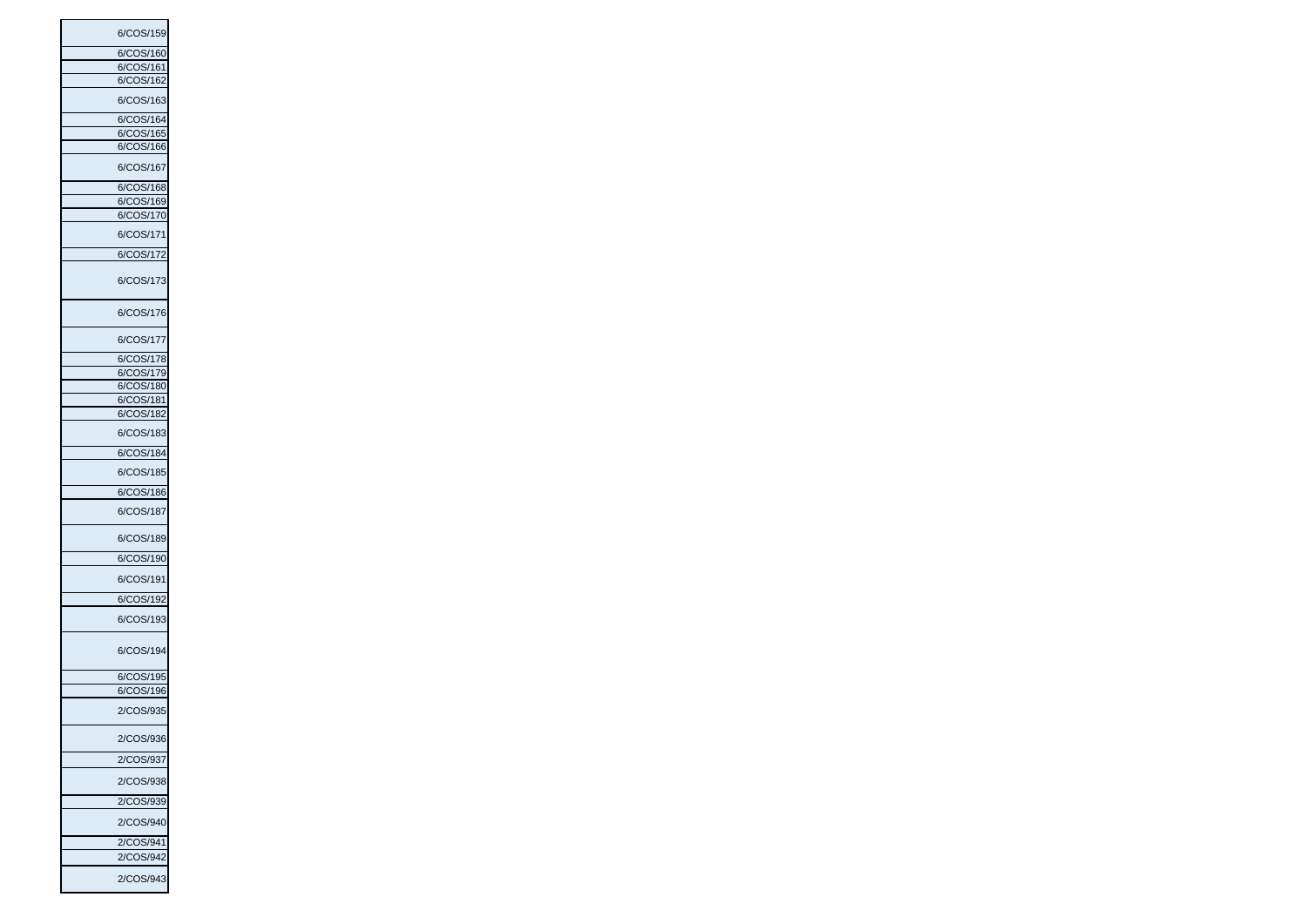| 6/COS/159                |  |
|--------------------------|--|
| 6/COS/160                |  |
|                          |  |
| 6/COS/161                |  |
| 6/COS/162                |  |
| 6/COS/163                |  |
| 6/COS/164                |  |
| 6/COS/165                |  |
| 6/COS/166                |  |
|                          |  |
| 6/COS/167                |  |
| 6/COS/168                |  |
| 6/COS/169                |  |
|                          |  |
| :OS/170<br>6/C           |  |
| 6/COS/171                |  |
| 6/COS/172                |  |
|                          |  |
| 6/COS/173                |  |
| 6/COS/176                |  |
|                          |  |
| 6/COS/177                |  |
| 6/COS/178                |  |
| 6/COS/179                |  |
|                          |  |
| 6/COS/180                |  |
| 6/C<br>×<br><b>S/181</b> |  |
| 6/COS/182                |  |
|                          |  |
| 6/COS/183                |  |
| 6/COS/184                |  |
| 6/COS/185                |  |
| 6/COS/186                |  |
|                          |  |
| 6/COS/187                |  |
| 6/COS/189                |  |
| 6/COS/190                |  |
| 6/COS/191                |  |
| 6/COS/192                |  |
| 6/COS/193                |  |
| 6/COS/194                |  |
| 6/COS/195                |  |
|                          |  |
| 6/COS/196                |  |
| 2/COS/935                |  |
| 2/COS/936                |  |
| 2/COS/937                |  |
| 2/COS/938                |  |
| 2/COS/939                |  |
| 2/COS/940                |  |
| 2/COS/941                |  |
|                          |  |
| 2/COS/942                |  |
| 2/COS/943                |  |
|                          |  |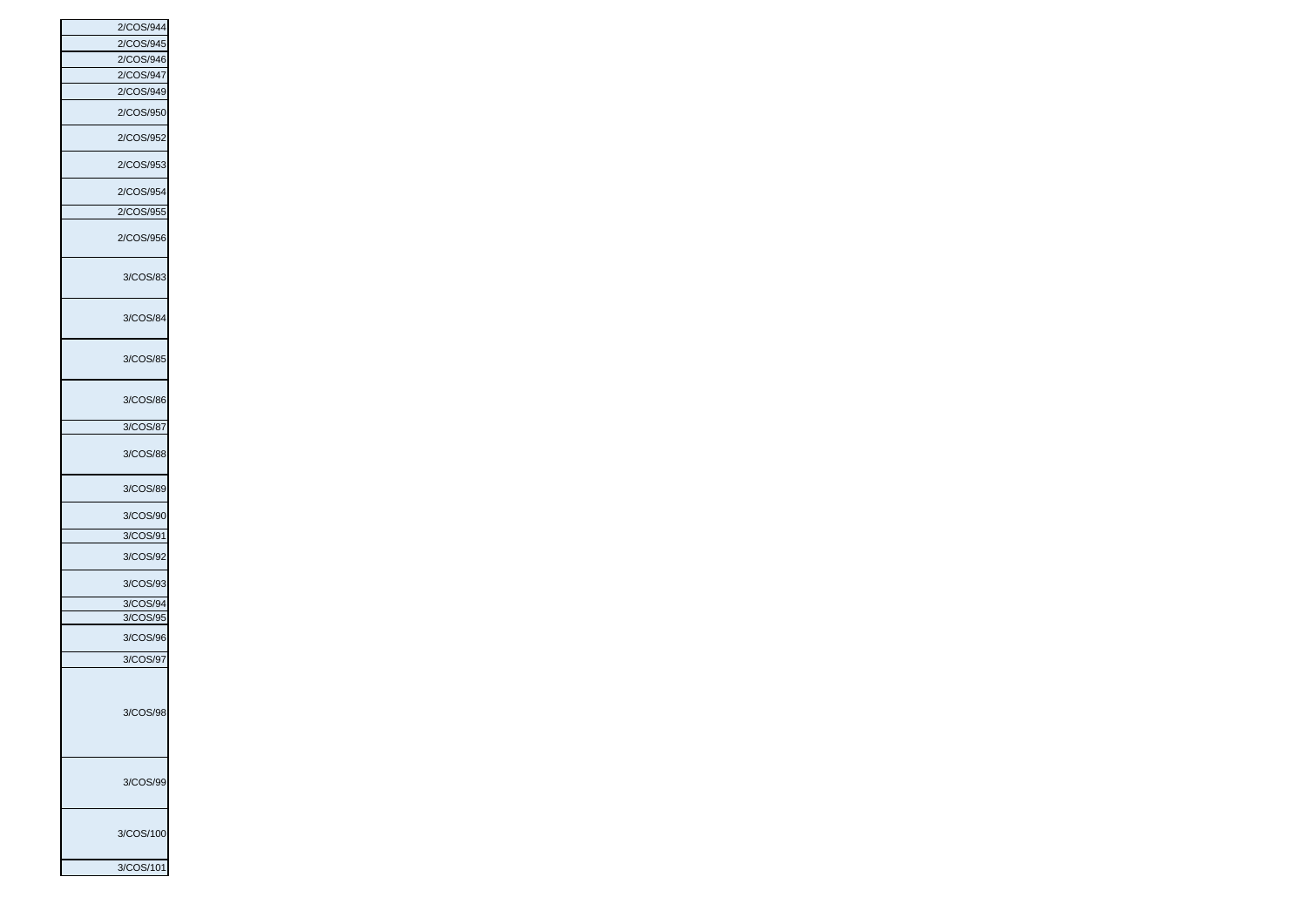| 2/COS/944 |
|-----------|
| 2/COS/945 |
| 2/COS/946 |
| 2/COS/947 |
| 2/COS/949 |
| 2/COS/950 |
| 2/COS/952 |
| 2/COS/953 |
| 2/COS/954 |
| 2/COS/955 |
| 2/COS/956 |
| 3/COS/83  |
| 3/COS/84  |
| 3/COS/85  |
| 3/COS/86  |
| 3/COS/87  |
| 3/COS/88  |
| 3/COS/89  |
| 3/COS/90  |
| 3/COS/91  |
| 3/COS/92  |
| 3/COS/93  |
| 3/COS/94  |
| 3/COS/95  |
| 3/COS/96  |
| 3/COS/97  |
| 3/COS/98  |
| 3/COS/99  |
| 3/COS/100 |
| 3/COS/101 |
|           |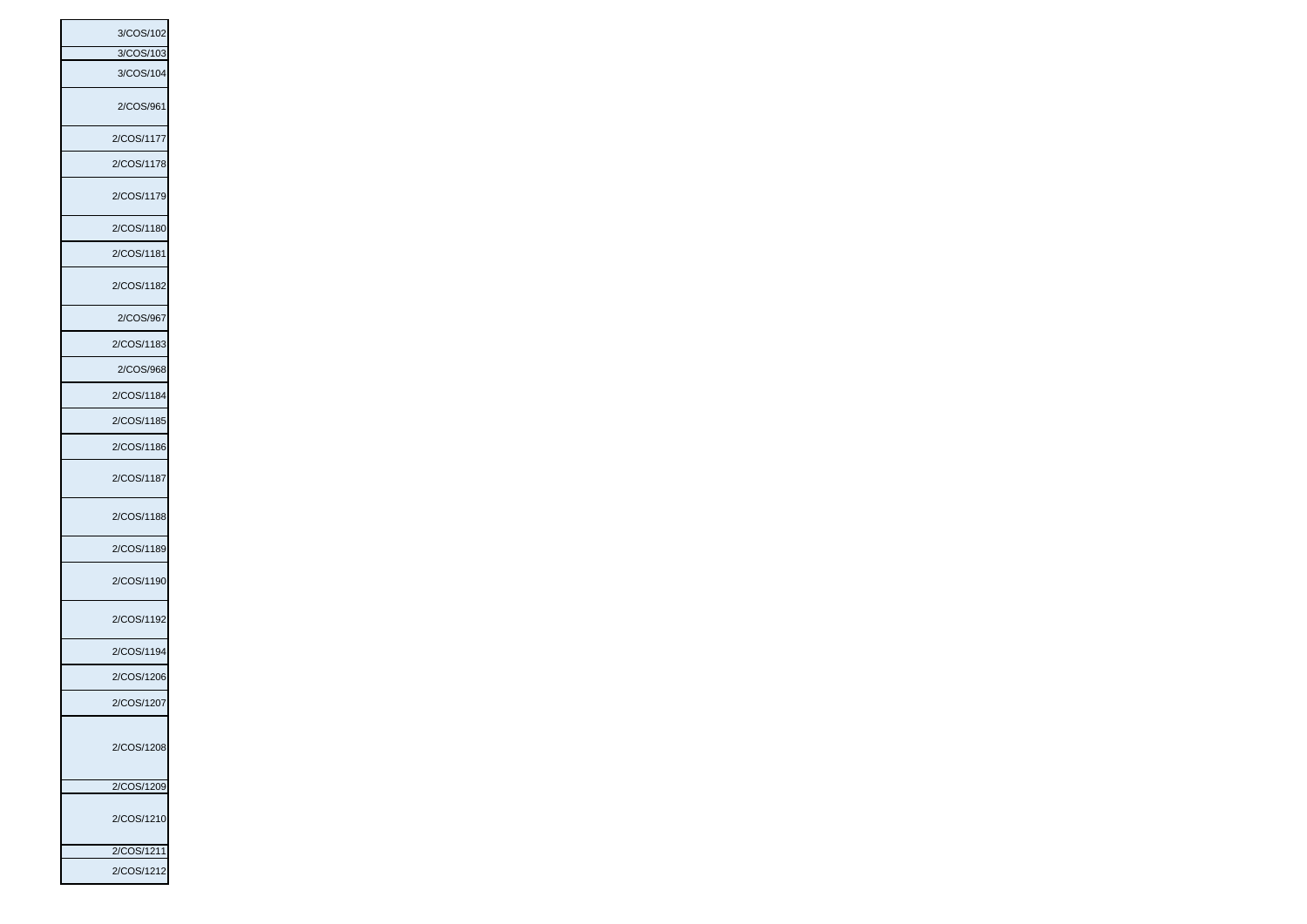| 3/COS/102       |
|-----------------|
| 3/COS/103       |
| 3/COS/104       |
| 2/COS/961       |
| 2/COS/1177      |
| 2/COS/1178      |
| 2/COS/1179      |
| 2/COS/1180      |
| 2/COS/1181      |
| 2/COS/1182      |
| 2/COS/967       |
| 2/COS/1183      |
| 2/COS/968       |
| 2/COS/1184      |
| 2/COS/1185      |
| 2/COS/1186      |
| 2/COS/1187      |
| 2/COS/1188      |
| 2/COS/1189      |
| 2/COS/1190      |
| 2/COS/1192      |
| 2/COS/1194      |
| 2/COS/1206      |
| 2/C<br>:OS/1207 |
| 2/COS/1208      |
|                 |
| 2/COS/1209      |
| 2/COS/1210      |
| 2/COS/1211      |
| 2/COS/1212      |
|                 |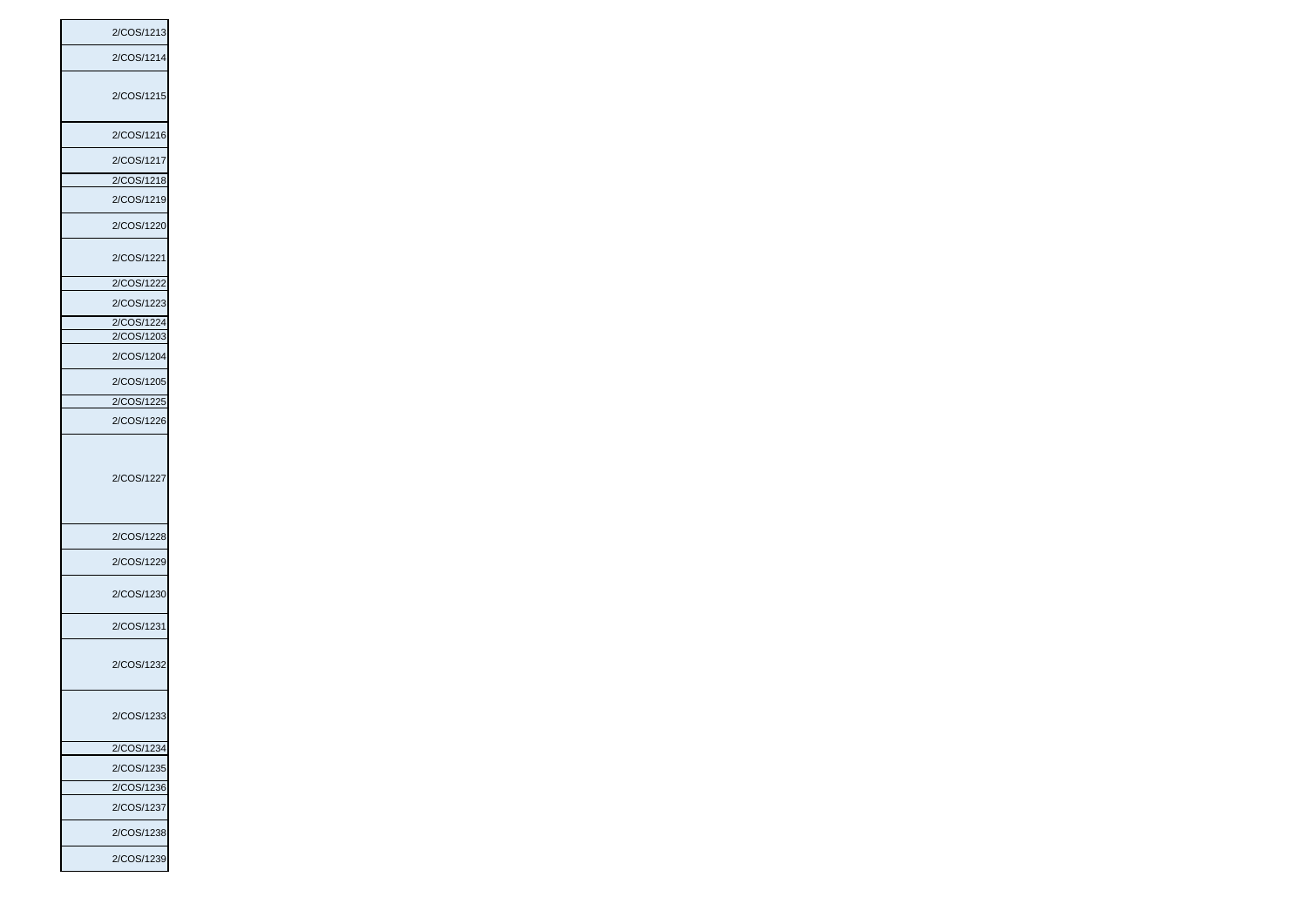| 2/COS/1213 |
|------------|
| 2/COS/1214 |
|            |
| 2/COS/1215 |
| 2/COS/1216 |
| 2/COS/1217 |
| 2/COS/1218 |
| 2/COS/1219 |
| 2/COS/1220 |
| 2/COS/1221 |
| 2/COS/1222 |
| 2/COS/1223 |
| 2/COS/1224 |
| 2/COS/1203 |
| 2/COS/1204 |
| 2/COS/1205 |
| 2/COS/1225 |
| 2/COS/1226 |
| 2/COS/1227 |
| 2/COS/1228 |
|            |
| 2/COS/1229 |
| 2/COS/1230 |
| 2/COS/1231 |
| 2/COS/1232 |
| 2/COS/1233 |
| 2/COS/1234 |
| 2/COS/1235 |
| 2/COS/1236 |
| 2/COS/1237 |
| 2/COS/1238 |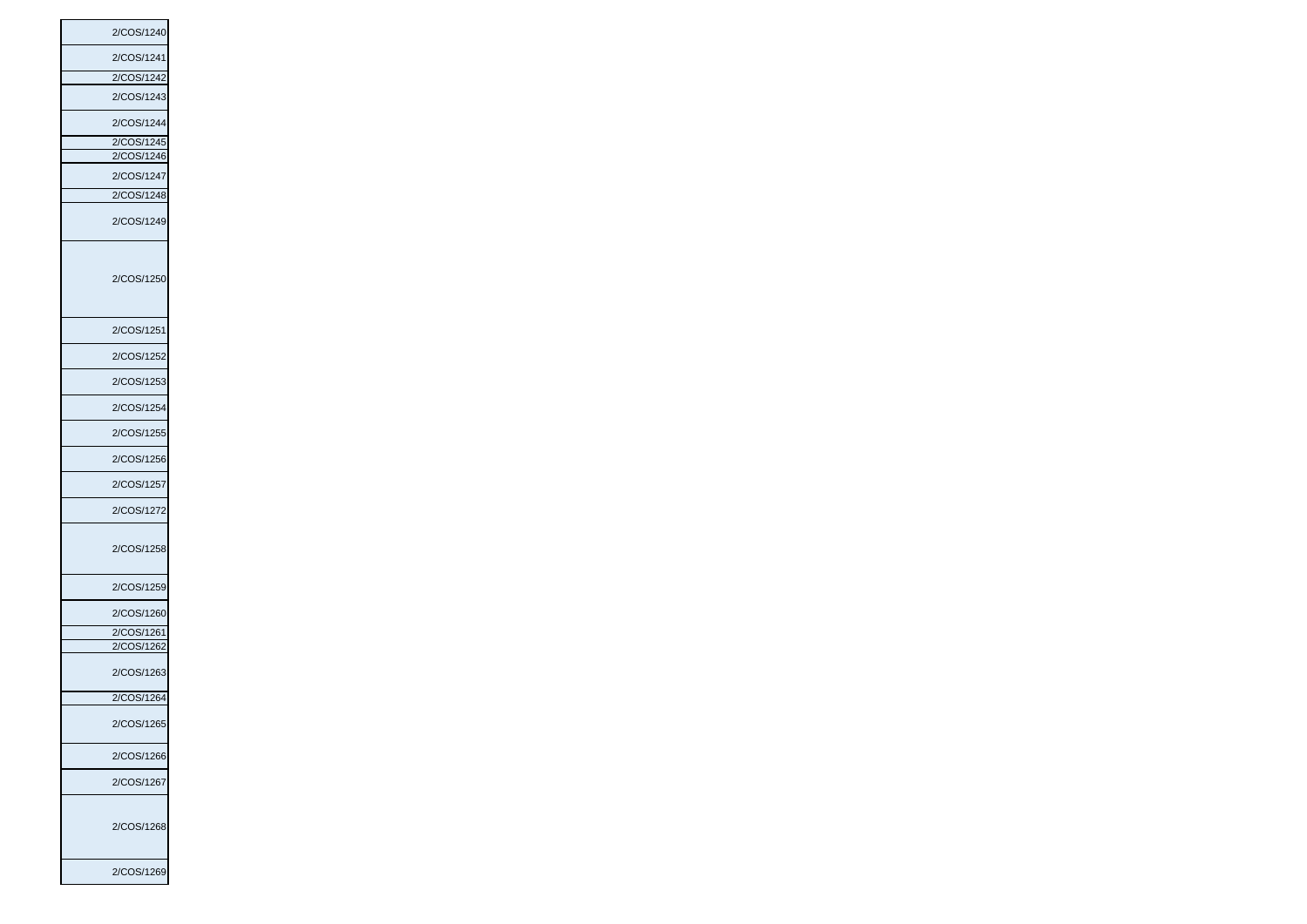| 2/COS/1240      |
|-----------------|
| 2/COS/1241      |
| 2/COS/1242      |
| 2/COS/1243      |
| 2/COS/1244      |
| 2/COS/1245      |
| 2/COS/1246      |
| 2/COS/1247      |
| 2/COS/1248      |
| 2/COS/1249      |
| 2/COS/1250      |
| 2/COS/1251      |
| 2/COS/1252      |
| 2/COS/1253      |
| 2/COS/1254      |
| 2/COS/1255      |
| 2/COS/1256      |
| 2/COS/1257      |
| 2/COS/1272      |
| 2/COS/1258      |
| 2/COS/1259      |
| 2/COS/1260      |
| 2/COS/1261      |
| :OS/1262<br>2/C |
| 2/COS/1263      |
| 2/COS/1264      |
| 2/COS/1265      |
| 2/COS/1266      |
| 2/COS/1267      |
| 2/COS/1268      |
| 2/COS/1269      |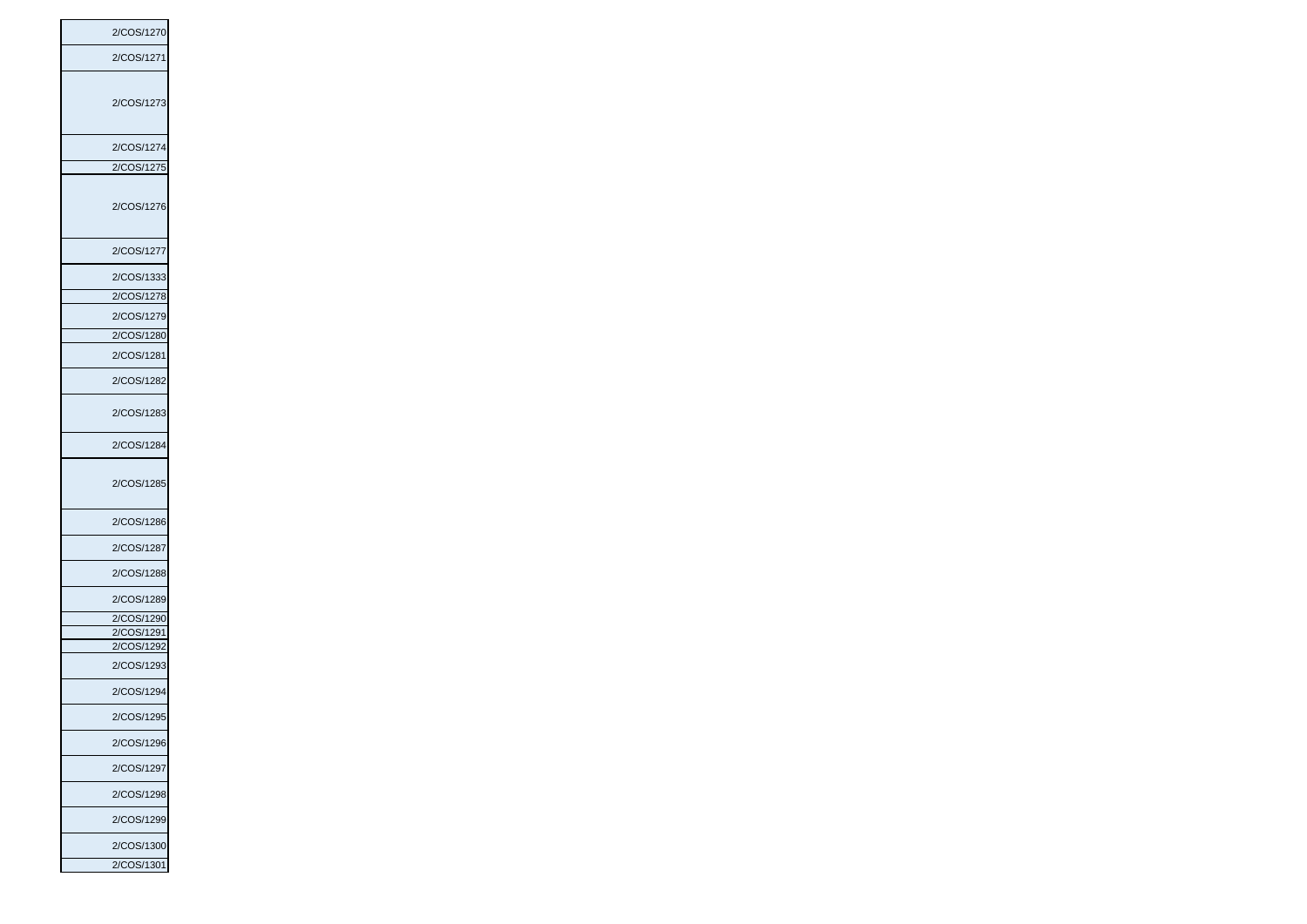2/COS/1270 2/COS/1271 2/COS/1273 2/COS/1274 2/COS/1275 2/COS/1276 2/COS/1277 2/COS/1333 2/COS/1278 2/COS/1279 2/COS/1280 2/COS/1281 2/COS/1282 2/COS/1283 2/COS/1284 2/COS/1285 2/COS/1286 2/COS/1287 2/COS/1288 2/COS/1289 2/COS/1290 2/COS/1291 2/COS/1292 2/COS/1293 2/COS/1294 2/COS/1295 2/COS/1296 2/COS/1297 2/COS/1298 2/COS/1299 2/COS/1300 2/COS/1301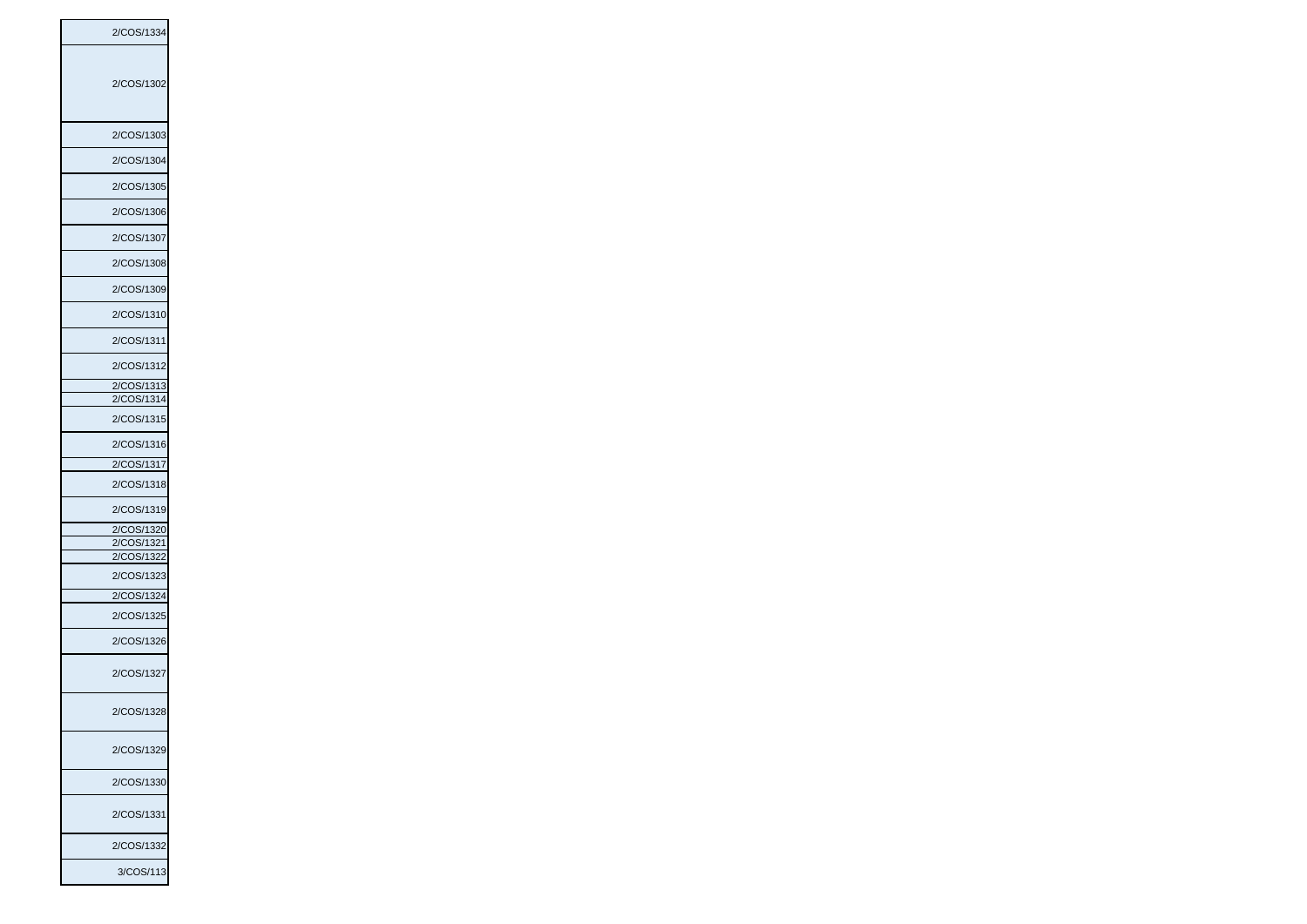2/COS/1334 2/COS/1302 2/COS/1303 2/COS/1304 2/COS/1305 2/COS/1306 2/COS/1307 2/COS/1308 2/COS/1309 2/COS/1310 2/COS/1311 2/COS/1312 2/COS/1313 2/COS/1314 2/COS/1315 2/COS/1316 2/COS/1317 2/COS/1318 2/COS/1319 2/COS/1320 2/COS/1321 2/COS/1322 2/COS/1323 2/COS/1324 2/COS/1325 2/COS/1326 2/COS/1327 2/COS/1328 2/COS/1329 2/COS/1330 2/COS/1331 2/COS/1332 3/COS/113